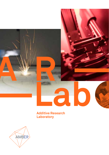

**Additive Research Laboratory**

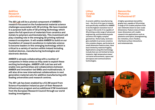## **Additive Research Laboratory**

**The AR-Lab will be a pivotal component of AMBER's research focussed on the fundamental material science challenges associated with 3D printing. We have invested in a purpose built suite of 3D printing technology which spans the full spectrum of materials from ceramics and metals to polymers and biomaterials. This investment will play a leading role in the emerging 3D printing national research ecosystem. It will enable AMBER to build on our foundation of research excellence in materials science to become leaders in this emerging technology which is critical to a variety of sectors within Ireland including medical devices, manufacturing technologies and electronic devices.** 

**AMBER is already collaborating with a number of companies in these areas as they seek to exploit these exciting technologies. AMBER's AR-Lab has and will enable new partnerships and collaborations between AMBER and innovation-led SMEs and multinationals. It will also drive new international collaborations in next generation material sets for additive manufacturing with leading universities and research centres.**

**The AR-Lab has been enabled by a €3.3M award from Science Foundation Ireland as part of their Research Infrastructure program and an additional €1M investment from the European Research Council through our world leading investigators.** 

#### **Lithoz Cerafab 7500**

**A ceramic additive manufacturing tool – the first of its type in Ireland, and specifically modified for AMBER to be the highest resolution tool of its type in the world. It is capable of 3D printing a wide range of advanced engineering, and biomedical grade ceramics into highly complex geometries. Historically, technologies available to process ceramics into complex shapes, particularly at small dimension feature sizes, have been limited by material fragility. Applications using this technology include (but are not limited to) bone implants, high temperature/wear/ corrosive environments, space and aerospace and communications technologies.**

#### **Nanoscribe Photonics Professional GT**

**A highly specialized stereolithography tool, capable of 3D printing a range of UV curable polymers from sub-millimetre down to nano-scale dimensions. Feature sizes at these lower dimensions will enable research into applications such as photonics and optics, bioengineering, bio-mimetics, micro-fluidics, interfacial surface interactions and metamaterials.**





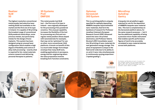#### **Realizer SLM 50**

**The highest resolution conventional metal powder bed selective laser melting (SLM) tool available on the market and the first one of its type in Ireland. It is capable of 3D printing the broadest range of conventional SLM powdered metal alloys, some precious metals, but particularly metals for the design of bone implants. This system has been designed using an unusual laser configuration which enables a high degree of flexibility and control of alloy melt processing – exactly what is required for bio-metal materials science research and delivering personal therapies to patients.**

## **3D Systems ProX DMP200**

**This metal powder bed SLM tool – the first one of its type in Ireland – was originally developed for the processing of dry powdered ceramics. This unusual capability increases the flexibility of the tool for processing very fine and nonregular metal powders (those doped with nanomaterials for example), that may not be 'optimised' for use on other, more conventional, SLM platforms. A knock-on benefit of this is a much wider design-form/shape envelope than many SLM tools, enabling applications in aerospace, energy and bio-engineering where the value proposition involves breaking form-function constraints.**

## **Optomec AerosolJet 300 System**

**This is a printing platform uniquely specified for spatially depositing AMBER's bespoke liquid exfoliated nano-materials, that form the backbone of research for Professor Jonathan Coleman's European Research Council (ERC) Advanced award into nano-ink printed electronics, and Professor Valeria Nicolosi's ERC Consolidator award into 3D printing of nano-materials for next generation energy storage. This piece of equipment is unique in the field world-wide due to its ability to co-print 2 nano-inks simultaneously in continuously varying proportions ("spatial grading").**

# erc

## **MicroDrop Autodrop Gantry**

**A bespoke ink-jet platform again matched for use for the deposition of AMBER's bespoke nano-material inks. This tool is complementary to the AerosolJet platform above, for the same research purposes — but it has the additional capability of being a precision micro-fluidic instrument that enables specific performance figures of merit to be accurately correlated to nano-material devices across both platforms.**

The Optomec and MicroDrop are part of projects that have received funding from the European Research Council (ERC) under the European Union's Horizon 2020 research and innovation programme under grant agreement numbers 681544 and 694101











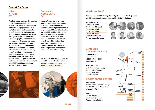## **Support Platforms:**

#### **Nikon XTH225 ST**

**This is an essential non-destructive characterisation platform for evaluating the shape/structure and materials design properties of AM parts fabricated on the above toolsets. Sequential X-ray images are used to image completed AM parts through 360 degrees. From this, advanced graphical rendering and processing software can re-image the part in 3-dimensions – down to 1 micron in minimal resolution. Qualitative and semi-qualitative information on defects, geometry, voids/inclusion, microstructure and dimensional stability can be obtained, which will inform the need for further higher resolution materials characterisation, available in AMBER's adjoining Advanced Microscopy Laboratory.**

#### **Brabender KETSE 20/40 EC**

**A powerful and highly accurate polymer twin-screw compounder -extruder. This is a materialsfeedstock support platform for our polymer fused filament fabrication AM capability, which will produce bespoke polymer filaments to support centre research into nano -composites, hierarchical co-polymers, bio-engineering and filtration applications. This will lead to new classes of printable polymers and so enable a broad use of this technology.**

A number of other bespoke tools are available in our other laboratories and we are happy to provide more detail on these as requested.





**A number of AMBER's Principal Investigators and technology leads are driving research associated with 3D printing including:** 

| <b>Prof Mick Morris</b>      |
|------------------------------|
| <b>Prof Daniel Kelly</b>     |
| <b>Prof Garret O'Donnell</b> |
| <b>Prof Rocco Lupoi</b>      |
| <b>Dr Daniel Trimble</b>     |
| Dr Ramesh Babu               |
| <b>Prof Valeria Nicolosi</b> |
| Prof Jonathan Coleman        |



#### **Contact us TECHNICAL ENQUIRIES:**

**Richard Coull** Lead Engineer +353 (0) 87 965 8355 rcoull@tcd.ie

#### **AMBER AR-Lab**

UNIT 7, Trinity Technology & Enterprise Campus, Grand Canal Quay, Dublin 2, Ireland

#### **INDUSTRY RELATED ENQUIRIES:**

#### **Keith Alden**

Business Development Manager +353 1 896 3485 / 87 364 0382 keith.alden@tcd.ie

#### **AMBER**

CRANN Institute, Trinity College Dublin, Pearse Street, Dublin 2